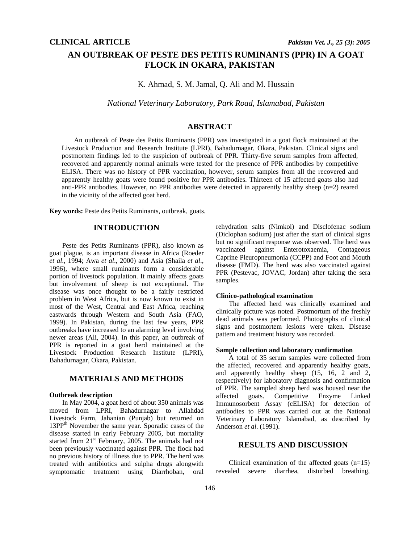# **AN OUTBREAK OF PESTE DES PETITS RUMINANTS (PPR) IN A GOAT FLOCK IN OKARA, PAKISTAN**

K. Ahmad, S. M. Jamal, Q. Ali and M. Hussain

*National Veterinary Laboratory, Park Road, Islamabad, Pakistan* 

## **ABSTRACT**

An outbreak of Peste des Petits Ruminants (PPR) was investigated in a goat flock maintained at the Livestock Production and Research Institute (LPRI), Bahadurnagar, Okara, Pakistan. Clinical signs and postmortem findings led to the suspicion of outbreak of PPR. Thirty-five serum samples from affected, recovered and apparently normal animals were tested for the presence of PPR antibodies by competitive ELISA. There was no history of PPR vaccination, however, serum samples from all the recovered and apparently healthy goats were found positive for PPR antibodies. Thirteen of 15 affected goats also had anti-PPR antibodies. However, no PPR antibodies were detected in apparently healthy sheep (n=2) reared in the vicinity of the affected goat herd.

**Key words:** Peste des Petits Ruminants, outbreak, goats.

# **INTRODUCTION**

Peste des Petits Ruminants (PPR), also known as goat plague, is an important disease in Africa (Roeder *et al*., 1994; Awa *et al*., 2000) and Asia (Shaila *et al*., 1996), where small ruminants form a considerable portion of livestock population. It mainly affects goats but involvement of sheep is not exceptional. The disease was once thought to be a fairly restricted problem in West Africa, but is now known to exist in most of the West, Central and East Africa, reaching eastwards through Western and South Asia (FAO, 1999). In Pakistan, during the last few years, PPR outbreaks have increased to an alarming level involving newer areas (Ali, 2004). In this paper, an outbreak of PPR is reported in a goat herd maintained at the Livestock Production Research Institute (LPRI), Bahadurnagar, Okara, Pakistan.

## **MATERIALS AND METHODS**

## **Outbreak description**

In May 2004, a goat herd of about 350 animals was moved from LPRI, Bahadurnagar to Allahdad Livestock Farm, Jahanian (Punjab) but returned on 13PP<sup>th</sup> November the same year. Sporadic cases of the disease started in early February 2005, but mortality started from 21<sup>st</sup> February, 2005. The animals had not been previously vaccinated against PPR. The flock had no previous history of illness due to PPR. The herd was treated with antibiotics and sulpha drugs alongwith symptomatic treatment using Diarrhoban, oral

rehydration salts (Nimkol) and Disclofenac sodium (Diclophan sodium) just after the start of clinical signs but no significant response was observed. The herd was vaccinated against Enterotoxaemia, Contageous Caprine Pleuropneumonia (CCPP) and Foot and Mouth disease (FMD). The herd was also vaccinated against PPR (Pestevac, JOVAC, Jordan) after taking the sera samples.

#### **Clinico-pathological examination**

The affected herd was clinically examined and clinically picture was noted. Postmortum of the freshly dead animals was performed. Photographs of clinical signs and postmortem lesions were taken. Disease pattern and treatment history was recorded.

#### **Sample collection and laboratory confirmation**

A total of 35 serum samples were collected from the affected, recovered and apparently healthy goats, and apparently healthy sheep (15, 16, 2 and 2, respectively) for laboratory diagnosis and confirmation of PPR. The sampled sheep herd was housed near the affected goats. Competitive Enzyme Linked affected goats. Competitive Enzyme Linked Immunosorbent Assay (cELISA) for detection of antibodies to PPR was carried out at the National Veterinary Laboratory Islamabad, as described by Anderson *et al*. (1991).

# **RESULTS AND DISCUSSION**

Clinical examination of the affected goats  $(n=15)$ revealed severe diarrhea, disturbed breathing,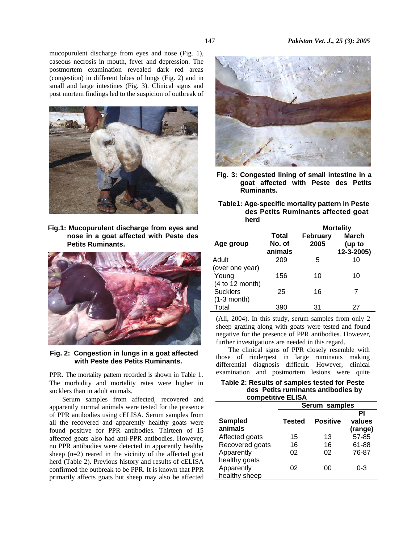mucopurulent discharge from eyes and nose (Fig. 1), caseous necrosis in mouth, fever and depression. The postmortem examination revealed dark red areas (congestion) in different lobes of lungs (Fig. 2) and in small and large intestines (Fig. 3). Clinical signs and post mortem findings led to the suspicion of outbreak of



**Fig.1: Mucopurulent discharge from eyes and nose in a goat affected with Peste des Petits Ruminants.** 



 **Fig. 2: Congestion in lungs in a goat affected with Peste des Petits Ruminants.** 

PPR. The mortality pattern recorded is shown in Table 1. The morbidity and mortality rates were higher in sucklers than in adult animals.

Serum samples from affected, recovered and apparently normal animals were tested for the presence of PPR antibodies using cELISA. Serum samples from all the recovered and apparently healthy goats were found positive for PPR antibodies. Thirteen of 15 affected goats also had anti-PPR antibodies. However, no PPR antibodies were detected in apparently healthy sheep  $(n=2)$  reared in the vicinity of the affected goat herd (Table 2). Previous history and results of cELISA confirmed the outbreak to be PPR. It is known that PPR primarily affects goats but sheep may also be affected



**Fig. 3: Congested lining of small intestine in a goat affected with Peste des Petits Ruminants.** 

 **Table1: Age-specific mortality pattern in Peste des Petits Ruminants affected goat herd** 

|                                             |                                   | <b>Mortality</b> |                                      |  |
|---------------------------------------------|-----------------------------------|------------------|--------------------------------------|--|
| Age group                                   | <b>Total</b><br>No. of<br>animals | February<br>2005 | <b>March</b><br>(up to<br>12-3-2005) |  |
| Adult                                       | 209                               | 5                | 10                                   |  |
| (over one year)<br>Young<br>(4 to 12 month) | 156                               | 10               | 10                                   |  |
| <b>Sucklers</b>                             | 25                                | 16               | 7                                    |  |
| $(1-3$ month)<br>Total                      | 390                               | 31               | 27                                   |  |

(Ali, 2004). In this study, serum samples from only 2 sheep grazing along with goats were tested and found negative for the presence of PPR antibodies. However, further investigations are needed in this regard.

The clinical signs of PPR closely resemble with those of rinderpest in large ruminants making differential diagnosis difficult. However, clinical examination and postmortem lesions were quite

| Table 2: Results of samples tested for Peste |
|----------------------------------------------|
| des Petits ruminants antibodies by           |
| competitive ELISA                            |

|                           | Serum samples |                 |                         |  |
|---------------------------|---------------|-----------------|-------------------------|--|
| <b>Sampled</b><br>animals | <b>Tested</b> | <b>Positive</b> | ΡI<br>values<br>(range) |  |
| Affected goats            | 15            | 13              | 57-85                   |  |
| Recovered goats           | 16            | 16              | 61-88                   |  |
| Apparently                | 02            | 02              | 76-87                   |  |
| healthy goats             |               |                 |                         |  |
| Apparently                | በ2            | იი              | 0-3                     |  |
| healthy sheep             |               |                 |                         |  |